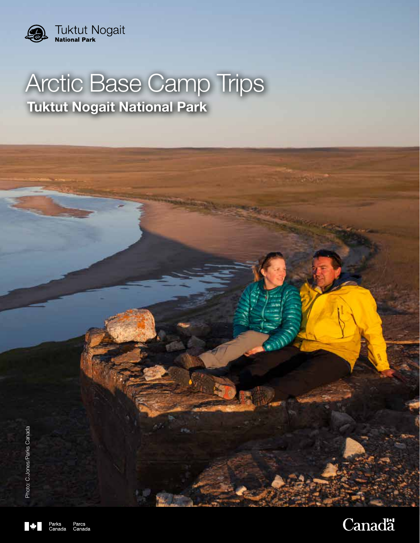

# Arctic Base Camp Trips **Tuktut Nogait National Park**



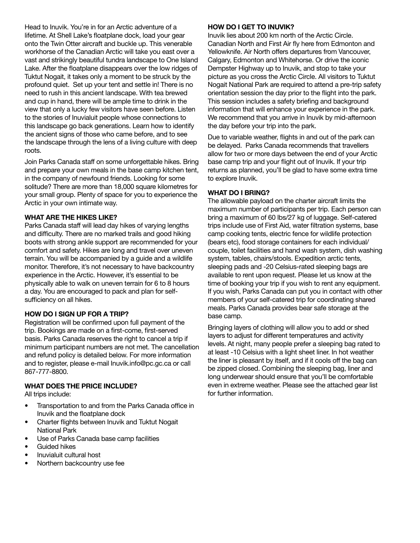Head to Inuvik. You're in for an Arctic adventure of a lifetime. At Shell Lake's floatplane dock, load your gear onto the Twin Otter aircraft and buckle up. This venerable workhorse of the Canadian Arctic will take you east over a vast and strikingly beautiful tundra landscape to One Island Lake. After the floatplane disappears over the low ridges of Tuktut Nogait, it takes only a moment to be struck by the profound quiet. Set up your tent and settle in! There is no need to rush in this ancient landscape. With tea brewed and cup in hand, there will be ample time to drink in the view that only a lucky few visitors have seen before. Listen to the stories of Inuvialuit people whose connections to this landscape go back generations. Learn how to identify the ancient signs of those who came before, and to see the landscape through the lens of a living culture with deep roots.

Join Parks Canada staff on some unforgettable hikes. Bring and prepare your own meals in the base camp kitchen tent, in the company of newfound friends. Looking for some solitude? There are more than 18,000 square kilometres for your small group. Plenty of space for you to experience the Arctic in your own intimate way.

#### **WHAT ARE THE HIKES LIKE?**

Parks Canada staff will lead day hikes of varying lengths and difficulty. There are no marked trails and good hiking boots with strong ankle support are recommended for your comfort and safety. Hikes are long and travel over uneven terrain. You will be accompanied by a guide and a wildlife monitor. Therefore, it's not necessary to have backcountry experience in the Arctic. However, it's essential to be physically able to walk on uneven terrain for 6 to 8 hours a day. You are encouraged to pack and plan for selfsufficiency on all hikes.

# **HOW DO I SIGN UP FOR A TRIP?**

Registration will be confirmed upon full payment of the trip. Bookings are made on a first-come, first-served basis. Parks Canada reserves the right to cancel a trip if minimum participant numbers are not met. The cancellation and refund policy is detailed below. For more information and to register, please e-mail Inuvik.info@pc.gc.ca or call 867-777-8800.

# **WHAT DOES THE PRICE INCLUDE?**

All trips include:

- Transportation to and from the Parks Canada office in Inuvik and the floatplane dock
- Charter flights between Inuvik and Tuktut Nogait National Park
- Use of Parks Canada base camp facilities
- Guided hikes
- Inuvialuit cultural host
- Northern backcountry use fee

#### **HOW DO I GET TO INUVIK?**

Inuvik lies about 200 km north of the Arctic Circle. Canadian North and First Air fly here from Edmonton and Yellowknife. Air North offers departures from Vancouver, Calgary, Edmonton and Whitehorse. Or drive the iconic Dempster Highway up to Inuvik, and stop to take your picture as you cross the Arctic Circle. All visitors to Tuktut Nogait National Park are required to attend a pre-trip safety orientation session the day prior to the flight into the park. This session includes a safety briefing and background information that will enhance your experience in the park. We recommend that you arrive in Inuvik by mid-afternoon the day before your trip into the park.

Due to variable weather, flights in and out of the park can be delayed. Parks Canada recommends that travellers allow for two or more days between the end of your Arctic base camp trip and your flight out of Inuvik. If your trip returns as planned, you'll be glad to have some extra time to explore Inuvik.

#### **WHAT DO I BRING?**

The allowable payload on the charter aircraft limits the maximum number of participants per trip. Each person can bring a maximum of 60 lbs/27 kg of luggage. Self-catered trips include use of First Aid, water filtration systems, base camp cooking tents, electric fence for wildlife protection (bears etc), food storage containers for each individual/ couple, toilet facilities and hand wash system, dish washing system, tables, chairs/stools. Expedition arctic tents, sleeping pads and -20 Celsius-rated sleeping bags are available to rent upon request. Please let us know at the time of booking your trip if you wish to rent any equipment. If you wish, Parks Canada can put you in contact with other members of your self-catered trip for coordinating shared meals. Parks Canada provides bear safe storage at the base camp.

Bringing layers of clothing will allow you to add or shed layers to adjust for different temperatures and activity levels. At night, many people prefer a sleeping bag rated to at least -10 Celsius with a light sheet liner. In hot weather the liner is pleasant by itself, and if it cools off the bag can be zipped closed. Combining the sleeping bag, liner and long underwear should ensure that you'll be comfortable even in extreme weather. Please see the attached gear list for further information.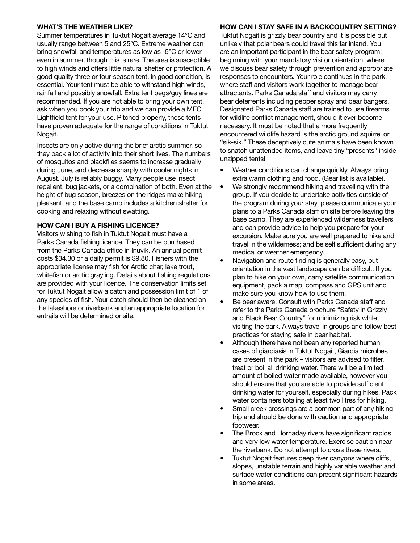#### **WHAT'S THE WEATHER LIKE?**

Summer temperatures in Tuktut Nogait average 14°C and usually range between 5 and 25°C. Extreme weather can bring snowfall and temperatures as low as -5°C or lower even in summer, though this is rare. The area is susceptible to high winds and offers little natural shelter or protection. A good quality three or four-season tent, in good condition, is essential. Your tent must be able to withstand high winds, rainfall and possibly snowfall. Extra tent pegs/guy lines are recommended. If you are not able to bring your own tent, ask when you book your trip and we can provide a MEC Lightfield tent for your use. Pitched properly, these tents have proven adequate for the range of conditions in Tuktut Nogait.

Insects are only active during the brief arctic summer, so they pack a lot of activity into their short lives. The numbers of mosquitos and blackflies seems to increase gradually during June, and decrease sharply with cooler nights in August. July is reliably buggy. Many people use insect repellent, bug jackets, or a combination of both. Even at the height of bug season, breezes on the ridges make hiking pleasant, and the base camp includes a kitchen shelter for cooking and relaxing without swatting.

### **HOW CAN I BUY A FISHING LICENCE?**

Visitors wishing to fish in Tuktut Nogait must have a Parks Canada fishing licence. They can be purchased from the Parks Canada office in Inuvik. An annual permit costs \$34.30 or a daily permit is \$9.80. Fishers with the appropriate license may fish for Arctic char, lake trout, whitefish or arctic grayling. Details about fishing regulations are provided with your licence. The conservation limits set for Tuktut Nogait allow a catch and possession limit of 1 of any species of fish. Your catch should then be cleaned on the lakeshore or riverbank and an appropriate location for entrails will be determined onsite.

# **HOW CAN I STAY SAFE IN A BACKCOUNTRY SETTING?**

Tuktut Nogait is grizzly bear country and it is possible but unlikely that polar bears could travel this far inland. You are an important participant in the bear safety program: beginning with your mandatory visitor orientation, where we discuss bear safety through prevention and appropriate responses to encounters. Your role continues in the park, where staff and visitors work together to manage bear attractants. Parks Canada staff and visitors may carry bear deterrents including pepper spray and bear bangers. Designated Parks Canada staff are trained to use firearms for wildlife conflict management, should it ever become necessary. It must be noted that a more frequently encountered wildlife hazard is the arctic ground squirrel or "sik-sik." These deceptively cute animals have been known to snatch unattended items, and leave tiny "presents" inside unzipped tents!

- Weather conditions can change quickly. Always bring extra warm clothing and food. (Gear list is available).
- We strongly recommend hiking and travelling with the group. If you decide to undertake activities outside of the program during your stay, please communicate your plans to a Parks Canada staff on site before leaving the base camp. They are experienced wilderness travellers and can provide advice to help you prepare for your excursion. Make sure you are well prepared to hike and travel in the wilderness; and be self sufficient during any medical or weather emergency.
- Navigation and route finding is generally easy, but orientation in the vast landscape can be difficult. If you plan to hike on your own, carry satellite communication equipment, pack a map, compass and GPS unit and make sure you know how to use them.
- Be bear aware. Consult with Parks Canada staff and refer to the Parks Canada brochure "Safety in Grizzly and Black Bear Country" for minimizing risk while visiting the park. Always travel in groups and follow best practices for staying safe in bear habitat.
- Although there have not been any reported human cases of giardiasis in Tuktut Nogait, Giardia microbes are present in the park – visitors are advised to filter, treat or boil all drinking water. There will be a limited amount of boiled water made available, however you should ensure that you are able to provide sufficient drinking water for yourself, especially during hikes. Pack water containers totaling at least two litres for hiking.
- Small creek crossings are a common part of any hiking trip and should be done with caution and appropriate footwear.
- The Brock and Hornaday rivers have significant rapids and very low water temperature. Exercise caution near the riverbank. Do not attempt to cross these rivers.
- Tuktut Nogait features deep river canyons where cliffs, slopes, unstable terrain and highly variable weather and surface water conditions can present significant hazards in some areas.